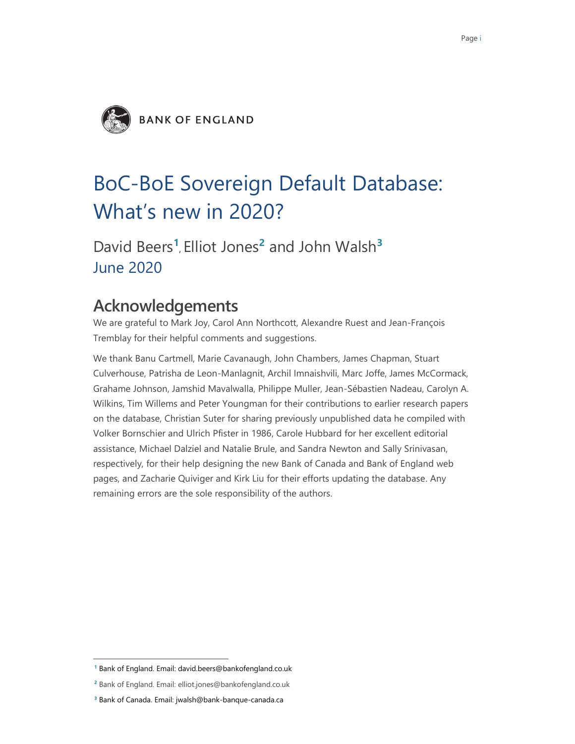

# BoC-BoE Sovereign Default Database: What's new in 2020?

David Beers**<sup>1</sup>** , Elliot Jones**<sup>2</sup>** and John Walsh**<sup>3</sup>** June 2020

## **Acknowledgements**

We are grateful to Mark Joy, Carol Ann Northcott, Alexandre Ruest and Jean-François Tremblay for their helpful comments and suggestions.

We thank Banu Cartmell, Marie Cavanaugh, John Chambers, James Chapman, Stuart Culverhouse, Patrisha de Leon-Manlagnit, Archil Imnaishvili, Marc Joffe, James McCormack, Grahame Johnson, Jamshid Mavalwalla, Philippe Muller, Jean-Sébastien Nadeau, Carolyn A. Wilkins, Tim Willems and Peter Youngman for their contributions to earlier research papers on the database, Christian Suter for sharing previously unpublished data he compiled with Volker Bornschier and Ulrich Pfister in 1986, Carole Hubbard for her excellent editorial assistance, Michael Dalziel and Natalie Brule, and Sandra Newton and Sally Srinivasan, respectively, for their help designing the new Bank of Canada and Bank of England web pages, and Zacharie Quiviger and Kirk Liu for their efforts updating the database. Any remaining errors are the sole responsibility of the authors.

**<sup>1</sup>** Bank of England. Email: david.beers@bankofengland.co.uk

**<sup>2</sup>** Bank of England. Email: elliot.jones@bankofengland.co.uk

**<sup>3</sup>** Bank of Canada. Email: jwalsh@bank-banque-canada.ca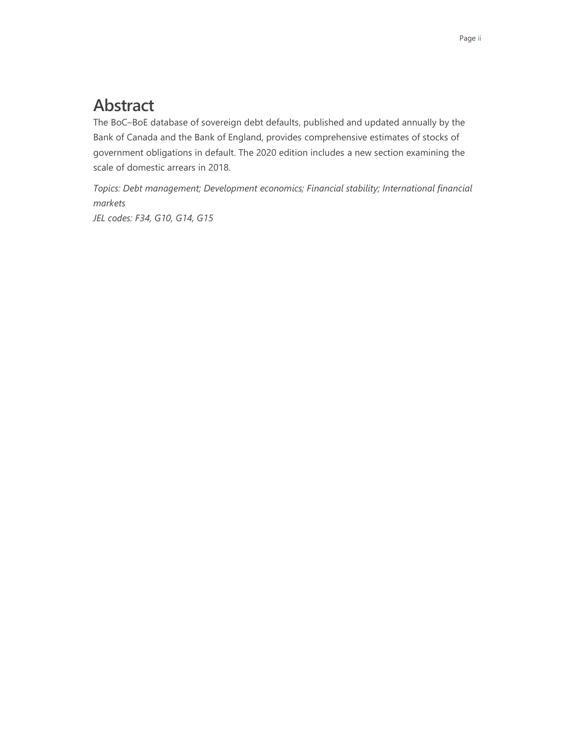# **Abstract**

The BoC–BoE database of sovereign debt defaults, published and updated annually by the Bank of Canada and the Bank of England, provides comprehensive estimates of stocks of government obligations in default. The 2020 edition includes a new section examining the scale of domestic arrears in 2018.

*Topics: Debt management; Development economics; Financial stability; International financial markets JEL codes: F34, G10, G14, G15*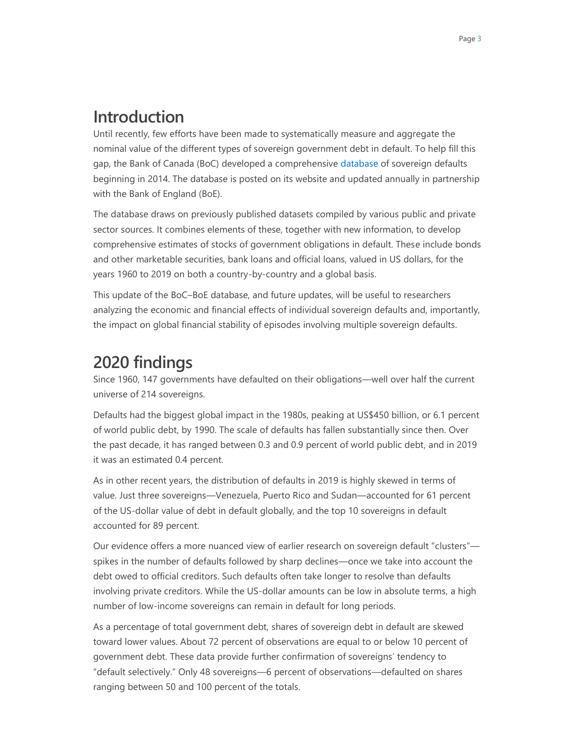## **Introduction**

Until recently, few efforts have been made to systematically measure and aggregate the nominal value of the different types of sovereign government debt in default. To help fill this gap, the Bank of Canada (BoC) developed a comprehensive [database](https://www.bankofcanada.ca/?p=212964) of sovereign defaults beginning in 2014. The database is posted on its website and updated annually in partnership with the Bank of England (BoE).

The database draws on previously published datasets compiled by various public and private sector sources. It combines elements of these, together with new information, to develop comprehensive estimates of stocks of government obligations in default. These include bonds and other marketable securities, bank loans and official loans, valued in US dollars, for the years 1960 to 2019 on both a country-by-country and a global basis.

This update of the BoC–BoE database, and future updates, will be useful to researchers analyzing the economic and financial effects of individual sovereign defaults and, importantly, the impact on global financial stability of episodes involving multiple sovereign defaults.

# **2020 findings**

Since 1960, 147 governments have defaulted on their obligations—well over half the current universe of 214 sovereigns.

Defaults had the biggest global impact in the 1980s, peaking at US\$450 billion, or 6.1 percent of world public debt, by 1990. The scale of defaults has fallen substantially since then. Over the past decade, it has ranged between 0.3 and 0.9 percent of world public debt, and in 2019 it was an estimated 0.4 percent.

As in other recent years, the distribution of defaults in 2019 is highly skewed in terms of value. Just three sovereigns—Venezuela, Puerto Rico and Sudan—accounted for 61 percent of the US-dollar value of debt in default globally, and the top 10 sovereigns in default accounted for 89 percent.

Our evidence offers a more nuanced view of earlier research on sovereign default "clusters" spikes in the number of defaults followed by sharp declines—once we take into account the debt owed to official creditors. Such defaults often take longer to resolve than defaults involving private creditors. While the US-dollar amounts can be low in absolute terms, a high number of low-income sovereigns can remain in default for long periods.

As a percentage of total government debt, shares of sovereign debt in default are skewed toward lower values. About 72 percent of observations are equal to or below 10 percent of government debt. These data provide further confirmation of sovereigns' tendency to "default selectively." Only 48 sovereigns—6 percent of observations—defaulted on shares ranging between 50 and 100 percent of the totals.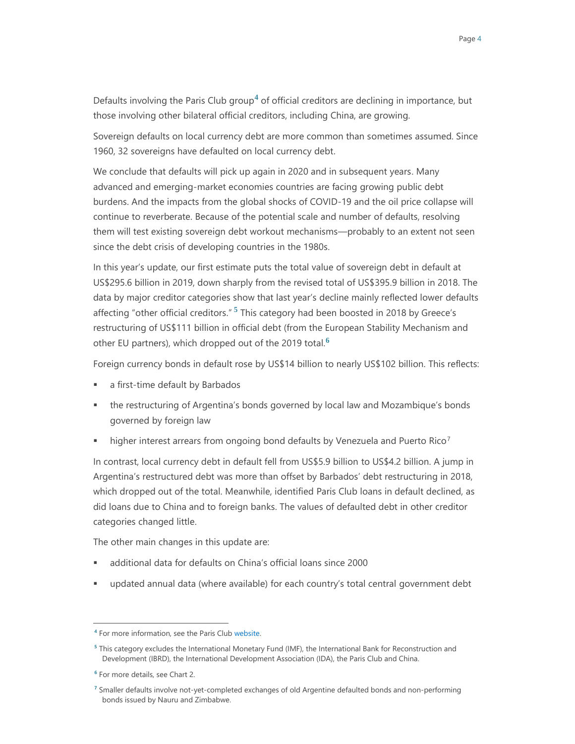Defaults involving the Paris Club group**<sup>4</sup>** of official creditors are declining in importance, but those involving other bilateral official creditors, including China, are growing.

Sovereign defaults on local currency debt are more common than sometimes assumed. Since 1960, 32 sovereigns have defaulted on local currency debt.

We conclude that defaults will pick up again in 2020 and in subsequent years. Many advanced and emerging-market economies countries are facing growing public debt burdens. And the impacts from the global shocks of COVID-19 and the oil price collapse will continue to reverberate. Because of the potential scale and number of defaults, resolving them will test existing sovereign debt workout mechanisms—probably to an extent not seen since the debt crisis of developing countries in the 1980s.

In this year's update, our first estimate puts the total value of sovereign debt in default at US\$295.6 billion in 2019, down sharply from the revised total of US\$395.9 billion in 2018. The data by major creditor categories show that last year's decline mainly reflected lower defaults affecting "other official creditors." **<sup>5</sup>** This category had been boosted in 2018 by Greece's restructuring of US\$111 billion in official debt (from the European Stability Mechanism and other EU partners), which dropped out of the 2019 total.**<sup>6</sup>**

Foreign currency bonds in default rose by US\$14 billion to nearly US\$102 billion. This reflects:

- a first-time default by Barbados
- the restructuring of Argentina's bonds governed by local law and Mozambique's bonds governed by foreign law
- **higher interest arrears from ongoing bond defaults by Venezuela and Puerto Rico**<sup>7</sup>

In contrast, local currency debt in default fell from US\$5.9 billion to US\$4.2 billion. A jump in Argentina's restructured debt was more than offset by Barbados' debt restructuring in 2018, which dropped out of the total. Meanwhile, identified Paris Club loans in default declined, as did loans due to China and to foreign banks. The values of defaulted debt in other creditor categories changed little.

The other main changes in this update are:

- additional data for defaults on China's official loans since 2000
- updated annual data (where available) for each country's total central government debt

**<sup>4</sup>** For more information, see the Paris Clu[b website.](http://www.clubdeparis.org/)

**<sup>5</sup>** This category excludes the International Monetary Fund (IMF), the International Bank for Reconstruction and Development (IBRD), the International Development Association (IDA), the Paris Club and China.

**<sup>6</sup>** For more details, see Chart 2.

**<sup>7</sup>** Smaller defaults involve not-yet-completed exchanges of old Argentine defaulted bonds and non-performing bonds issued by Nauru and Zimbabwe.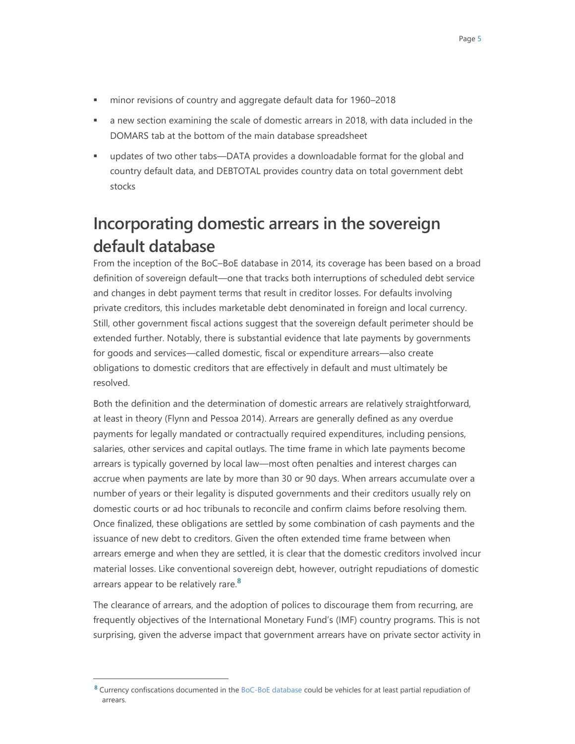- minor revisions of country and aggregate default data for 1960–2018
- a new section examining the scale of domestic arrears in 2018, with data included in the DOMARS tab at the bottom of the main database spreadsheet
- updates of two other tabs—DATA provides a downloadable format for the global and country default data, and DEBTOTAL provides country data on total government debt stocks

# **Incorporating domestic arrears in the sovereign default database**

From the inception of the BoC–BoE database in 2014, its coverage has been based on a broad definition of sovereign default—one that tracks both interruptions of scheduled debt service and changes in debt payment terms that result in creditor losses. For defaults involving private creditors, this includes marketable debt denominated in foreign and local currency. Still, other government fiscal actions suggest that the sovereign default perimeter should be extended further. Notably, there is substantial evidence that late payments by governments for goods and services—called domestic, fiscal or expenditure arrears—also create obligations to domestic creditors that are effectively in default and must ultimately be resolved.

Both the definition and the determination of domestic arrears are relatively straightforward, at least in theory (Flynn and Pessoa 2014). Arrears are generally defined as any overdue payments for legally mandated or contractually required expenditures, including pensions, salaries, other services and capital outlays. The time frame in which late payments become arrears is typically governed by local law—most often penalties and interest charges can accrue when payments are late by more than 30 or 90 days. When arrears accumulate over a number of years or their legality is disputed governments and their creditors usually rely on domestic courts or ad hoc tribunals to reconcile and confirm claims before resolving them. Once finalized, these obligations are settled by some combination of cash payments and the issuance of new debt to creditors. Given the often extended time frame between when arrears emerge and when they are settled, it is clear that the domestic creditors involved incur material losses. Like conventional sovereign debt, however, outright repudiations of domestic arrears appear to be relatively rare.**<sup>8</sup>**

The clearance of arrears, and the adoption of polices to discourage them from recurring, are frequently objectives of the International Monetary Fund's (IMF) country programs. This is not surprising, given the adverse impact that government arrears have on private sector activity in

**<sup>8</sup>** Currency confiscations documented in the [BoC-BoE database](https://www.bankofcanada.ca/?p=212964) could be vehicles for at least partial repudiation of arrears.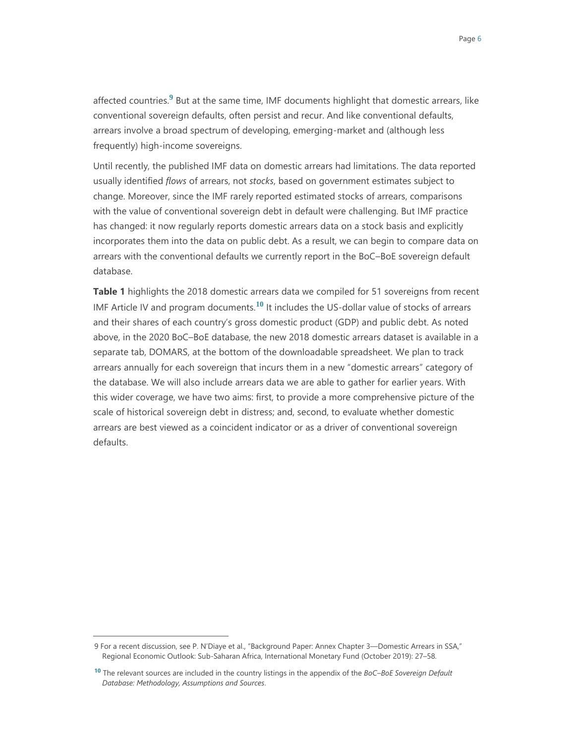affected countries.**<sup>9</sup>** But at the same time, IMF documents highlight that domestic arrears, like conventional sovereign defaults, often persist and recur. And like conventional defaults, arrears involve a broad spectrum of developing, emerging-market and (although less frequently) high-income sovereigns.

Until recently, the published IMF data on domestic arrears had limitations. The data reported usually identified *flows* of arrears, not *stocks*, based on government estimates subject to change. Moreover, since the IMF rarely reported estimated stocks of arrears, comparisons with the value of conventional sovereign debt in default were challenging. But IMF practice has changed: it now regularly reports domestic arrears data on a stock basis and explicitly incorporates them into the data on public debt. As a result, we can begin to compare data on arrears with the conventional defaults we currently report in the BoC–BoE sovereign default database.

**Table 1** highlights the 2018 domestic arrears data we compiled for 51 sovereigns from recent IMF Article IV and program documents.**<sup>10</sup>** It includes the US-dollar value of stocks of arrears and their shares of each country's gross domestic product (GDP) and public debt. As noted above, in the 2020 BoC–BoE database, the new 2018 domestic arrears dataset is available in a separate tab, DOMARS, at the bottom of the downloadable spreadsheet. We plan to track arrears annually for each sovereign that incurs them in a new "domestic arrears" category of the database. We will also include arrears data we are able to gather for earlier years. With this wider coverage, we have two aims: first, to provide a more comprehensive picture of the scale of historical sovereign debt in distress; and, second, to evaluate whether domestic arrears are best viewed as a coincident indicator or as a driver of conventional sovereign defaults.

<sup>9</sup> For a recent discussion, see P. N'Diaye et al., "Background Paper: Annex Chapter 3—Domestic Arrears in SSA," Regional Economic Outlook: Sub-Saharan Africa, International Monetary Fund (October 2019): 27–58.

**<sup>10</sup>** The relevant sources are included in the country listings in the appendix of the *BoC–BoE Sovereign Default Database: Methodology, Assumptions and Sources*.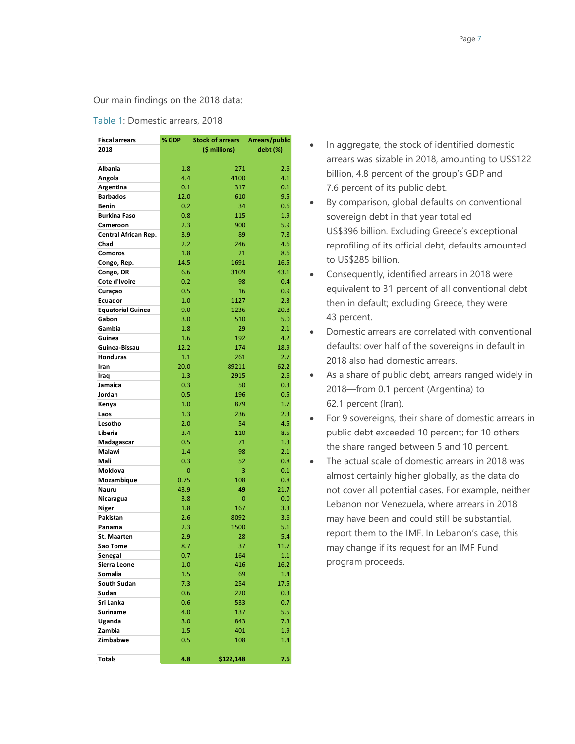#### Our main findings on the 2018 data:

#### Table 1: Domestic arrears, 2018

| <b>Fiscal arrears</b>    | % GDP | <b>Stock of arrears</b> | Arrears/public |
|--------------------------|-------|-------------------------|----------------|
| 2018                     |       | (\$ millions)           | debt (%)       |
|                          |       |                         |                |
| Albania                  | 1.8   | 271                     | 2.6            |
| Angola                   | 4.4   | 4100                    | 4.1            |
| Argentina                | 0.1   | 317                     | 0.1            |
| <b>Barbados</b>          | 12.0  | 610                     | 9.5            |
| <b>Benin</b>             | 0.2   | 34                      | 0.6            |
| <b>Burkina Faso</b>      | 0.8   | 115                     | 1.9            |
| Cameroon                 | 2.3   | 900                     | 5.9            |
| Central African Rep.     | 3.9   | 89                      | 7.8            |
| Chad                     | 2.2   | 246                     | 4.6            |
| Comoros                  | 1.8   | 21                      | 8.6            |
|                          | 14.5  | 1691                    | 16.5           |
| Congo, Rep.              | 6.6   | 3109                    | 43.1           |
| Congo, DR                | 0.2   |                         |                |
| Cote d'Ivoire            |       | 98                      | 0.4            |
| Curaçao                  | 0.5   | 16                      | 0.9            |
| Ecuador                  | 1.0   | 1127                    | 2.3            |
| <b>Equatorial Guinea</b> | 9.0   | 1236                    | 20.8           |
| Gabon                    | 3.0   | 510                     | 5.0            |
| Gambia                   | 1.8   | 29                      | 2.1            |
| Guinea                   | 1.6   | 192                     | 4.2            |
| Guinea-Bissau            | 12.2  | 174                     | 18.9           |
| <b>Honduras</b>          | 1.1   | 261                     | 2.7            |
| Iran                     | 20.0  | 89211                   | 62.2           |
| Iraq                     | 1.3   | 2915                    | 2.6            |
| Jamaica                  | 0.3   | 50                      | 0.3            |
| Jordan                   | 0.5   | 196                     | 0.5            |
| Kenya                    | 1.0   | 879                     | 1.7            |
| Laos                     | 1.3   | 236                     | 2.3            |
| Lesotho                  | 2.0   | 54                      | 4.5            |
| Liberia                  | 3.4   | 110                     | 8.5            |
| Madagascar               | 0.5   | 71                      | 1.3            |
| Malawi                   | 1.4   | 98                      | 2.1            |
| Mali                     | 0.3   | 52                      | 0.8            |
| Moldova                  | 0     | 3                       | 0.1            |
| Mozambique               | 0.75  | 108                     | 0.8            |
| Nauru                    | 43.9  | 49                      | 21.7           |
| Nicaragua                | 3.8   | 0                       | 0.0            |
| Niger                    | 1.8   | 167                     | 3.3            |
| Pakistan                 | 2.6   | 8092                    | 3.6            |
| Panama                   | 2.3   | 1500                    | 5.1            |
| <b>St. Maarten</b>       | 2.9   | 28                      | 5.4            |
| Sao Tome                 | 8.7   | 37                      | 11.7           |
| Senegal                  | 0.7   | 164                     | 1.1            |
| Sierra Leone             | 1.0   | 416                     | 16.2           |
| Somalia                  | 1.5   | 69                      | 1.4            |
| South Sudan              | 7.3   | 254                     | 17.5           |
| Sudan                    | 0.6   | 220                     | 0.3            |
| Sri Lanka                | 0.6   | 533                     | 0.7            |
| Suriname                 | 4.0   | 137                     | 5.5            |
| Uganda                   | 3.0   | 843                     | 7.3            |
| Zambia                   | 1.5   | 401                     | 1.9            |
| Zimbabwe                 | 0.5   | 108                     | 1.4            |
|                          |       |                         |                |
| <b>Totals</b>            | 4.8   | \$122,148               | 7.6            |

- In aggregate, the stock of identified domestic arrears was sizable in 2018, amounting to US\$122 billion, 4.8 percent of the group's GDP and 7.6 percent of its public debt.
- By comparison, global defaults on conventional sovereign debt in that year totalled US\$396 billion. Excluding Greece's exceptional reprofiling of its official debt, defaults amounted to US\$285 billion.
- Consequently, identified arrears in 2018 were equivalent to 31 percent of all conventional debt then in default; excluding Greece, they were 43 percent.
- Domestic arrears are correlated with conventional defaults: over half of the sovereigns in default in 2018 also had domestic arrears.
- As a share of public debt, arrears ranged widely in 2018—from 0.1 percent (Argentina) to 62.1 percent (Iran).
- For 9 sovereigns, their share of domestic arrears in public debt exceeded 10 percent; for 10 others the share ranged between 5 and 10 percent.
- The actual scale of domestic arrears in 2018 was almost certainly higher globally, as the data do not cover all potential cases. For example, neither Lebanon nor Venezuela, where arrears in 2018 may have been and could still be substantial, report them to the IMF. In Lebanon's case, this may change if its request for an IMF Fund program proceeds.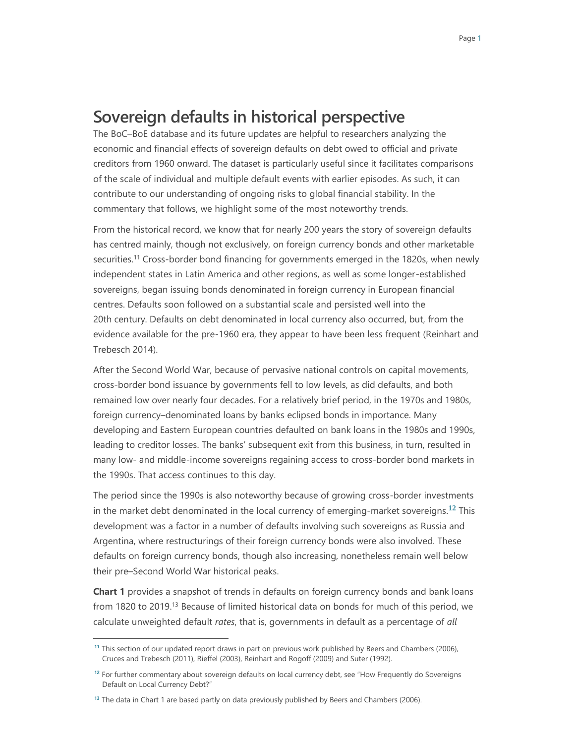### **Sovereign defaults in historical perspective**

The BoC–BoE database and its future updates are helpful to researchers analyzing the economic and financial effects of sovereign defaults on debt owed to official and private creditors from 1960 onward. The dataset is particularly useful since it facilitates comparisons of the scale of individual and multiple default events with earlier episodes. As such, it can contribute to our understanding of ongoing risks to global financial stability. In the commentary that follows, we highlight some of the most noteworthy trends.

From the historical record, we know that for nearly 200 years the story of sovereign defaults has centred mainly, though not exclusively, on foreign currency bonds and other marketable securities.<sup>11</sup> Cross-border bond financing for governments emerged in the 1820s, when newly independent states in Latin America and other regions, as well as some longer-established sovereigns, began issuing bonds denominated in foreign currency in European financial centres. Defaults soon followed on a substantial scale and persisted well into the 20th century. Defaults on debt denominated in local currency also occurred, but, from the evidence available for the pre-1960 era, they appear to have been less frequent (Reinhart and Trebesch 2014).

After the Second World War, because of pervasive national controls on capital movements, cross-border bond issuance by governments fell to low levels, as did defaults, and both remained low over nearly four decades. For a relatively brief period, in the 1970s and 1980s, foreign currency–denominated loans by banks eclipsed bonds in importance. Many developing and Eastern European countries defaulted on bank loans in the 1980s and 1990s, leading to creditor losses. The banks' subsequent exit from this business, in turn, resulted in many low- and middle-income sovereigns regaining access to cross-border bond markets in the 1990s. That access continues to this day.

The period since the 1990s is also noteworthy because of growing cross-border investments in the market debt denominated in the local currency of emerging-market sovereigns. **<sup>12</sup>** This development was a factor in a number of defaults involving such sovereigns as Russia and Argentina, where restructurings of their foreign currency bonds were also involved. These defaults on foreign currency bonds, though also increasing, nonetheless remain well below their pre–Second World War historical peaks.

**Chart 1** provides a snapshot of trends in defaults on foreign currency bonds and bank loans from 1820 to 2019.<sup>13</sup> Because of limited historical data on bonds for much of this period, we calculate unweighted default *rates*, that is, governments in default as a percentage of *all*

**<sup>11</sup>** This section of our updated report draws in part on previous work published by Beers and Chambers (2006), Cruces and Trebesch (2011), Rieffel (2003), Reinhart and Rogoff (2009) and Suter (1992).

**<sup>12</sup>** For further commentary about sovereign defaults on local currency debt, see "How Frequently do Sovereigns Default on Local Currency Debt?"

**<sup>13</sup>** The data in Chart 1 are based partly on data previously published by Beers and Chambers (2006).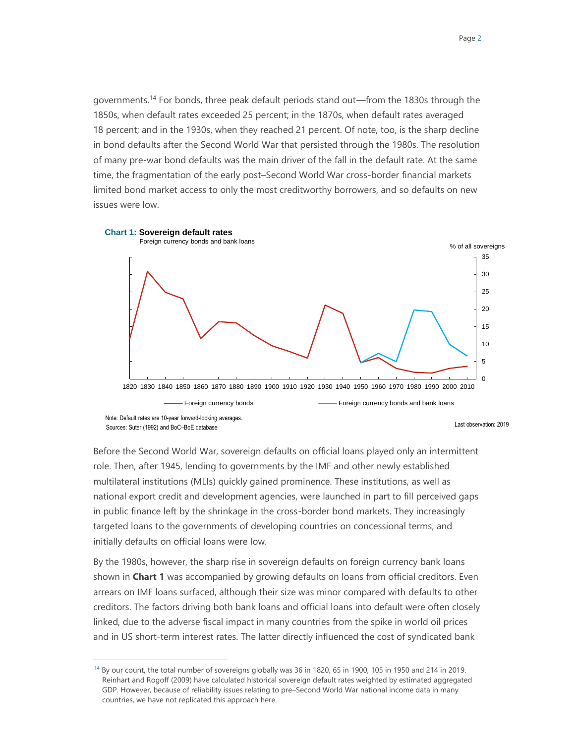governments.<sup>14</sup> For bonds, three peak default periods stand out—from the 1830s through the 1850s, when default rates exceeded 25 percent; in the 1870s, when default rates averaged 18 percent; and in the 1930s, when they reached 21 percent. Of note, too, is the sharp decline in bond defaults after the Second World War that persisted through the 1980s. The resolution of many pre-war bond defaults was the main driver of the fall in the default rate. At the same time, the fragmentation of the early post–Second World War cross-border financial markets limited bond market access to only the most creditworthy borrowers, and so defaults on new issues were low.



Before the Second World War, sovereign defaults on official loans played only an intermittent role. Then, after 1945, lending to governments by the IMF and other newly established multilateral institutions (MLIs) quickly gained prominence. These institutions, as well as national export credit and development agencies, were launched in part to fill perceived gaps in public finance left by the shrinkage in the cross-border bond markets. They increasingly targeted loans to the governments of developing countries on concessional terms, and initially defaults on official loans were low.

By the 1980s, however, the sharp rise in sovereign defaults on foreign currency bank loans shown in **Chart 1** was accompanied by growing defaults on loans from official creditors. Even arrears on IMF loans surfaced, although their size was minor compared with defaults to other creditors. The factors driving both bank loans and official loans into default were often closely linked, due to the adverse fiscal impact in many countries from the spike in world oil prices and in US short-term interest rates. The latter directly influenced the cost of syndicated bank

l

**<sup>14</sup>** By our count, the total number of sovereigns globally was 36 in 1820, 65 in 1900, 105 in 1950 and 214 in 2019. Reinhart and Rogoff (2009) have calculated historical sovereign default rates weighted by estimated aggregated GDP. However, because of reliability issues relating to pre–Second World War national income data in many countries, we have not replicated this approach here.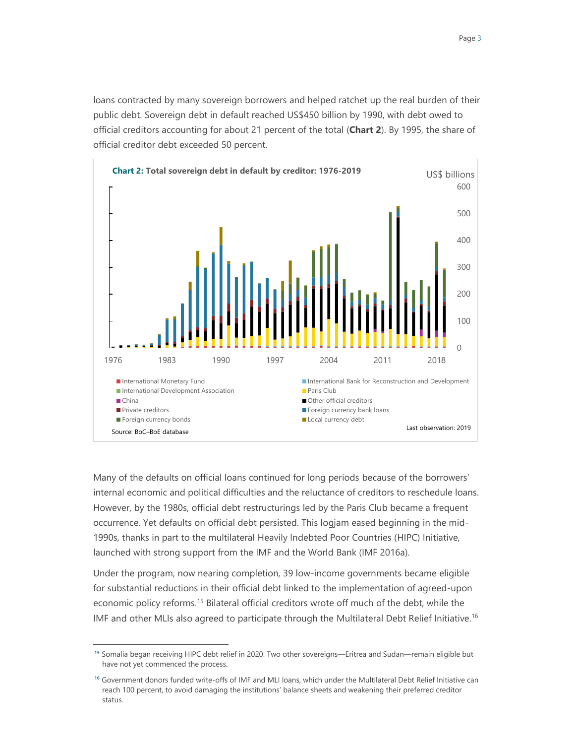loans contracted by many sovereign borrowers and helped ratchet up the real burden of their public debt. Sovereign debt in default reached US\$450 billion by 1990, with debt owed to official creditors accounting for about 21 percent of the total (**Chart 2**). By 1995, the share of official creditor debt exceeded 50 percent.



Many of the defaults on official loans continued for long periods because of the borrowers' internal economic and political difficulties and the reluctance of creditors to reschedule loans. However, by the 1980s, official debt restructurings led by the Paris Club became a frequent occurrence. Yet defaults on official debt persisted. This logjam eased beginning in the mid-1990s, thanks in part to the multilateral Heavily Indebted Poor Countries (HIPC) Initiative, launched with strong support from the IMF and the World Bank (IMF 2016a).

Under the program, now nearing completion, 39 low-income governments became eligible for substantial reductions in their official debt linked to the implementation of agreed-upon economic policy reforms.<sup>15</sup> Bilateral official creditors wrote off much of the debt, while the IMF and other MLIs also agreed to participate through the Multilateral Debt Relief Initiative.<sup>16</sup>

**<sup>15</sup>** Somalia began receiving HIPC debt relief in 2020. Two other sovereigns—Eritrea and Sudan—remain eligible but have not yet commenced the process.

**<sup>16</sup>** Government donors funded write-offs of IMF and MLI loans, which under the Multilateral Debt Relief Initiative can reach 100 percent, to avoid damaging the institutions' balance sheets and weakening their preferred creditor status.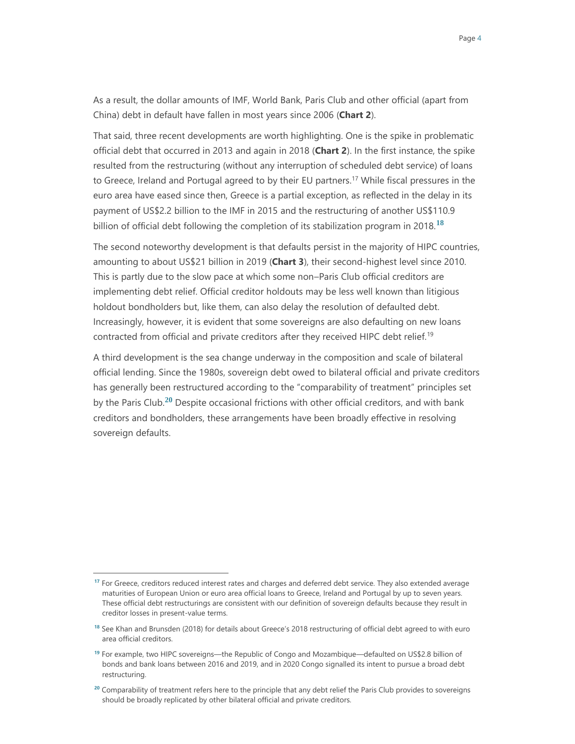As a result, the dollar amounts of IMF, World Bank, Paris Club and other official (apart from China) debt in default have fallen in most years since 2006 (**Chart 2**).

That said, three recent developments are worth highlighting. One is the spike in problematic official debt that occurred in 2013 and again in 2018 (**Chart 2**). In the first instance, the spike resulted from the restructuring (without any interruption of scheduled debt service) of loans to Greece, Ireland and Portugal agreed to by their EU partners.<sup>17</sup> While fiscal pressures in the euro area have eased since then, Greece is a partial exception, as reflected in the delay in its payment of US\$2.2 billion to the IMF in 2015 and the restructuring of another US\$110.9 billion of official debt following the completion of its stabilization program in 2018.**<sup>18</sup>**

The second noteworthy development is that defaults persist in the majority of HIPC countries, amounting to about US\$21 billion in 2019 (**Chart 3**), their second-highest level since 2010. This is partly due to the slow pace at which some non–Paris Club official creditors are implementing debt relief. Official creditor holdouts may be less well known than litigious holdout bondholders but, like them, can also delay the resolution of defaulted debt. Increasingly, however, it is evident that some sovereigns are also defaulting on new loans contracted from official and private creditors after they received HIPC debt relief.<sup>19</sup>

A third development is the sea change underway in the composition and scale of bilateral official lending. Since the 1980s, sovereign debt owed to bilateral official and private creditors has generally been restructured according to the "comparability of treatment" principles set by the Paris Club.**<sup>20</sup>** Despite occasional frictions with other official creditors, and with bank creditors and bondholders, these arrangements have been broadly effective in resolving sovereign defaults.

**<sup>17</sup>** For Greece, creditors reduced interest rates and charges and deferred debt service. They also extended average maturities of European Union or euro area official loans to Greece, Ireland and Portugal by up to seven years. These official debt restructurings are consistent with our definition of sovereign defaults because they result in creditor losses in present-value terms.

**<sup>18</sup>** See Khan and Brunsden (2018) for details about Greece's 2018 restructuring of official debt agreed to with euro area official creditors.

**<sup>19</sup>** For example, two HIPC sovereigns—the Republic of Congo and Mozambique—defaulted on US\$2.8 billion of bonds and bank loans between 2016 and 2019, and in 2020 Congo signalled its intent to pursue a broad debt restructuring.

**<sup>20</sup>** Comparability of treatment refers here to the principle that any debt relief the Paris Club provides to sovereigns should be broadly replicated by other bilateral official and private creditors.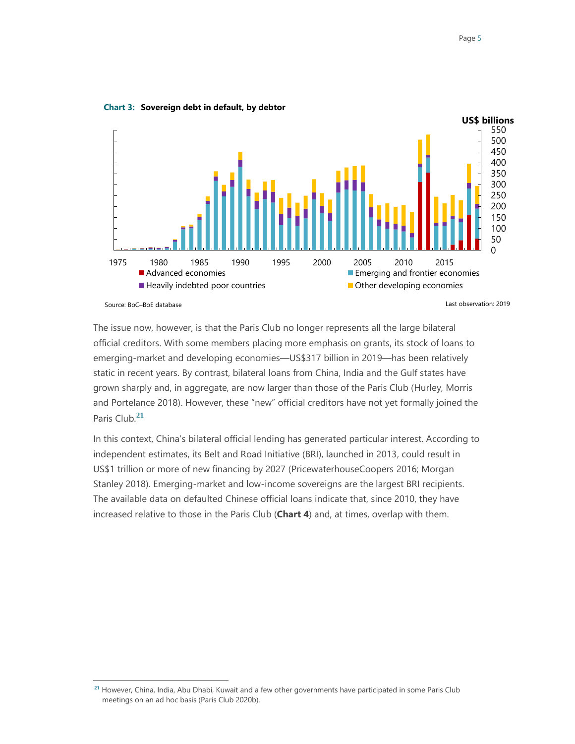

**Chart 3: Sovereign debt in default, by debtor**

 $\overline{a}$ 

The issue now, however, is that the Paris Club no longer represents all the large bilateral official creditors. With some members placing more emphasis on grants, its stock of loans to emerging-market and developing economies—US\$317 billion in 2019—has been relatively static in recent years. By contrast, bilateral loans from China, India and the Gulf states have grown sharply and, in aggregate, are now larger than those of the Paris Club (Hurley, Morris and Portelance 2018). However, these "new" official creditors have not yet formally joined the Paris Club.**<sup>21</sup>**

In this context, China's bilateral official lending has generated particular interest. According to independent estimates, its Belt and Road Initiative (BRI), launched in 2013, could result in US\$1 trillion or more of new financing by 2027 (PricewaterhouseCoopers 2016; Morgan Stanley 2018). Emerging-market and low-income sovereigns are the largest BRI recipients. The available data on defaulted Chinese official loans indicate that, since 2010, they have increased relative to those in the Paris Club (**Chart 4**) and, at times, overlap with them.

**<sup>21</sup>** However, China, India, Abu Dhabi, Kuwait and a few other governments have participated in some Paris Club meetings on an ad hoc basis (Paris Club 2020b).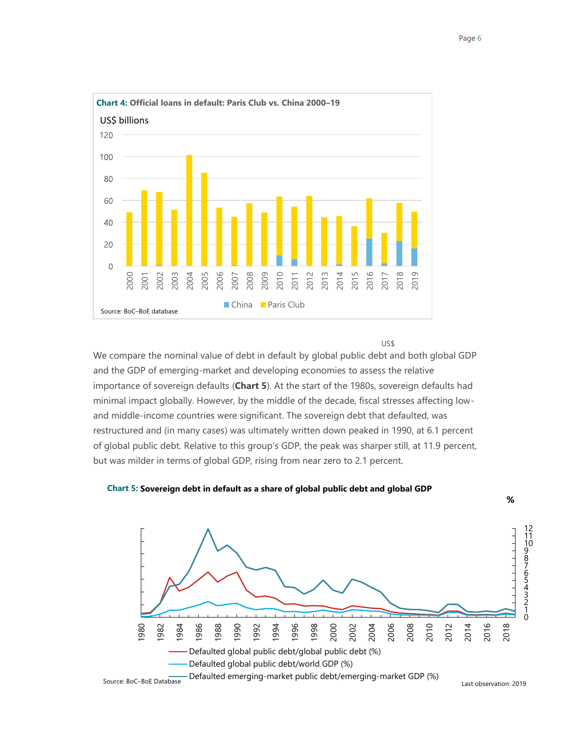

US\$

We compare the nominal value of debt in default by global public debt and both global GDP and the GDP of emerging-market and developing economies to assess the relative importance of sovereign defaults (**Chart 5**). At the start of the 1980s, sovereign defaults had minimal impact globally. However, by the middle of the decade, fiscal stresses affecting lowand middle-income countries were significant. The sovereign debt that defaulted, was restructured and (in many cases) was ultimately written down peaked in 1990, at 6.1 percent of global public debt. Relative to this group's GDP, the peak was sharper still, at 11.9 percent, but was milder in terms of global GDP, rising from near zero to 2.1 percent.<br>
But was milder in terms of global gublic debt and<br>
and the GDP of emerging-market and developing economies to assess the rimportance of sovere

#### **Chart 5: Sovereign debt in default as a share of global public debt and global GDP**



**%**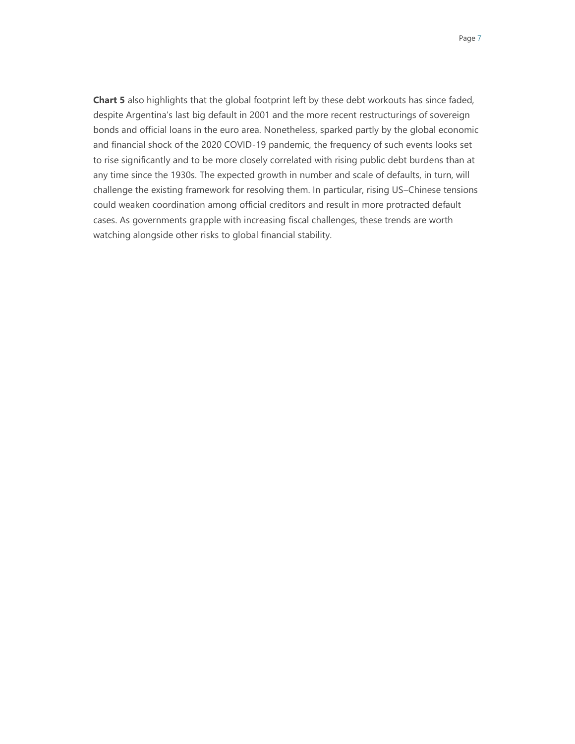**Chart 5** also highlights that the global footprint left by these debt workouts has since faded, despite Argentina's last big default in 2001 and the more recent restructurings of sovereign bonds and official loans in the euro area. Nonetheless, sparked partly by the global economic and financial shock of the 2020 COVID-19 pandemic, the frequency of such events looks set to rise significantly and to be more closely correlated with rising public debt burdens than at any time since the 1930s. The expected growth in number and scale of defaults, in turn, will challenge the existing framework for resolving them. In particular, rising US–Chinese tensions could weaken coordination among official creditors and result in more protracted default cases. As governments grapple with increasing fiscal challenges, these trends are worth watching alongside other risks to global financial stability.